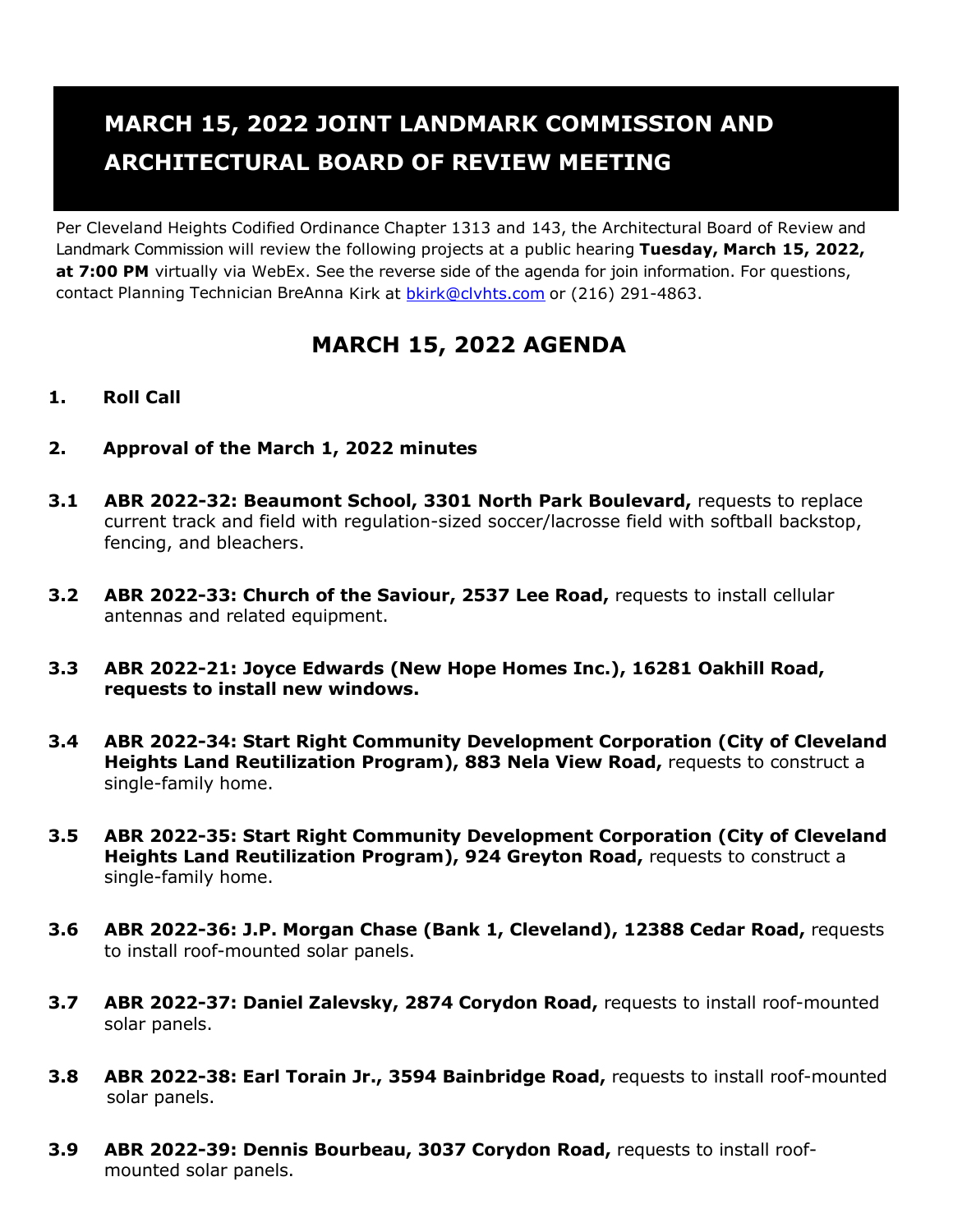## **MARCH 15, 2022 JOINT LANDMARK COMMISSION AND ARCHITECTURAL BOARD OF REVIEW MEETING**

Per Cleveland Heights Codified Ordinance Chapter 1313 and 143, the Architectural Board of Review and Landmark Commission will review the following projects at a public hearing **Tuesday, March 15, 2022, at 7:00 PM** virtually via WebEx. See the reverse side of the agenda for join information. For questions, contact Planning Technician BreAnna Kirk at [bkirk@clvhts.com](mailto:bkirk@clvhts.com) or (216) 291-4863.

## **MARCH 15, 2022 AGENDA**

## **1. Roll Call**

- **2. Approval of the March 1, 2022 minutes**
- **3.1 ABR 2022-32: Beaumont School, 3301 North Park Boulevard,** requests to replace current track and field with regulation-sized soccer/lacrosse field with softball backstop, fencing, and bleachers.
- **3.2 ABR 2022-33: Church of the Saviour, 2537 Lee Road,** requests to install cellular antennas and related equipment.
- **3.3 ABR 2022-21: Joyce Edwards (New Hope Homes Inc.), 16281 Oakhill Road, requests to install new windows.**
- **3.4 ABR 2022-34: Start Right Community Development Corporation (City of Cleveland Heights Land Reutilization Program), 883 Nela View Road,** requests to construct a single-family home.
- **3.5 ABR 2022-35: Start Right Community Development Corporation (City of Cleveland Heights Land Reutilization Program), 924 Greyton Road, requests to construct a** single-family home.
- **3.6 ABR 2022-36: J.P. Morgan Chase (Bank 1, Cleveland), 12388 Cedar Road,** requests to install roof-mounted solar panels.
- **3.7 ABR 2022-37: Daniel Zalevsky, 2874 Corydon Road,** requests to install roof-mounted solar panels.
- **3.8 ABR 2022-38: Earl Torain Jr., 3594 Bainbridge Road,** requests to install roof-mounted solar panels.
- **3.9 ABR 2022-39: Dennis Bourbeau, 3037 Corydon Road,** requests to install roofmounted solar panels.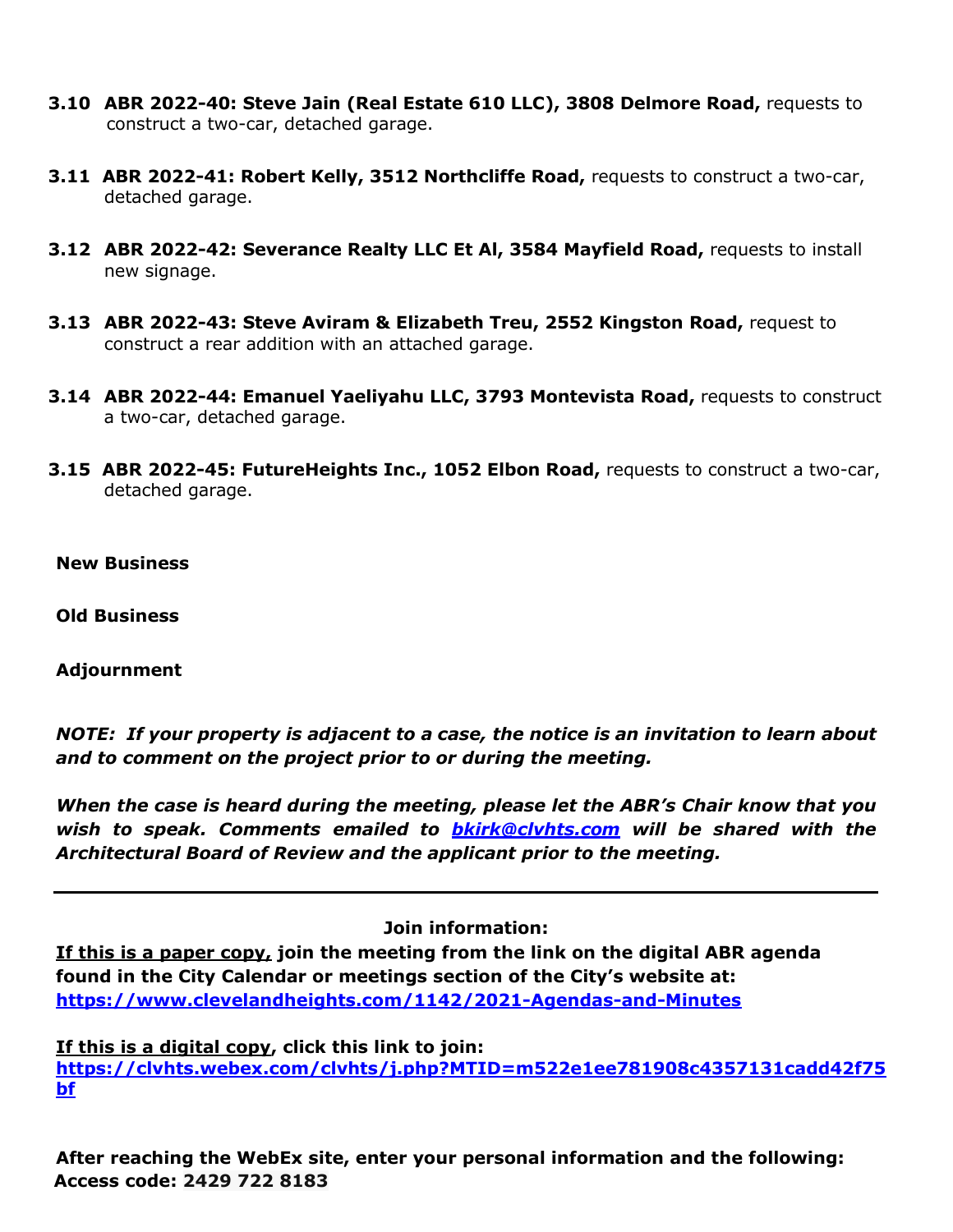- **3.10 ABR 2022-40: Steve Jain (Real Estate 610 LLC), 3808 Delmore Road,** requests to construct a two-car, detached garage.
- **3.11 ABR 2022-41: Robert Kelly, 3512 Northcliffe Road,** requests to construct a two-car, detached garage.
- **3.12 ABR 2022-42: Severance Realty LLC Et Al, 3584 Mayfield Road,** requests to install new signage.
- **3.13 ABR 2022-43: Steve Aviram & Elizabeth Treu, 2552 Kingston Road,** request to construct a rear addition with an attached garage.
- **3.14 ABR 2022-44: Emanuel Yaeliyahu LLC, 3793 Montevista Road,** requests to construct a two-car, detached garage.
- **3.15 ABR 2022-45: FutureHeights Inc., 1052 Elbon Road,** requests to construct a two-car, detached garage.
- **New Business**
- **Old Business**

**Adjournment**

*NOTE: If your property is adjacent to a case, the notice is an invitation to learn about and to comment on the project prior to or during the meeting.*

*When the case is heard during the meeting, please let the ABR's Chair know that you wish to speak. Comments emailed to [bkirk@clvhts.com](mailto:bkirk@clvhts.com) will be shared with the Architectural Board of Review and the applicant prior to the meeting.*

**Join information:**

**If this is a paper copy, join the meeting from the link on the digital ABR agenda found in the City Calendar or meetings section of the City's website at: <https://www.clevelandheights.com/1142/2021-Agendas-and-Minutes>**

**If this is a digital copy, click this link to join: [https://clvhts.webex.com/clvhts/j.php?MTID=m522e1ee781908c4357131cadd42f75](https://clvhts.webex.com/clvhts/j.php?MTID=m522e1ee781908c4357131cadd42f75bf)**

**[bf](https://clvhts.webex.com/clvhts/j.php?MTID=m522e1ee781908c4357131cadd42f75bf)**

**After reaching the WebEx site, enter your personal information and the following: Access code: 2429 722 8183**